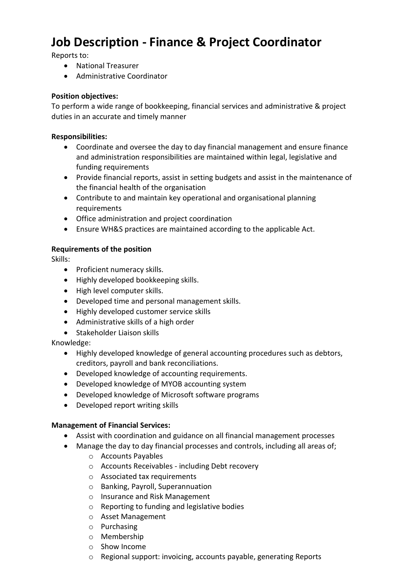# **Job Description - Finance & Project Coordinator**

Reports to:

- National Treasurer
- Administrative Coordinator

#### **Position objectives:**

To perform a wide range of bookkeeping, financial services and administrative & project duties in an accurate and timely manner

#### **Responsibilities:**

- Coordinate and oversee the day to day financial management and ensure finance and administration responsibilities are maintained within legal, legislative and funding requirements
- Provide financial reports, assist in setting budgets and assist in the maintenance of the financial health of the organisation
- Contribute to and maintain key operational and organisational planning requirements
- Office administration and project coordination
- Ensure WH&S practices are maintained according to the applicable Act.

#### **Requirements of the position**

Skills:

- Proficient numeracy skills.
- Highly developed bookkeeping skills.
- High level computer skills.
- Developed time and personal management skills.
- Highly developed customer service skills
- Administrative skills of a high order
- Stakeholder Liaison skills

Knowledge:

- Highly developed knowledge of general accounting procedures such as debtors, creditors, payroll and bank reconciliations.
- Developed knowledge of accounting requirements.
- Developed knowledge of MYOB accounting system
- Developed knowledge of Microsoft software programs
- Developed report writing skills

### **Management of Financial Services:**

- Assist with coordination and guidance on all financial management processes
- Manage the day to day financial processes and controls, including all areas of;
	- o Accounts Payables
	- o Accounts Receivables including Debt recovery
	- o Associated tax requirements
	- o Banking, Payroll, Superannuation
	- o Insurance and Risk Management
	- o Reporting to funding and legislative bodies
	- o Asset Management
	- o Purchasing
	- o Membership
	- o Show Income
	- o Regional support: invoicing, accounts payable, generating Reports